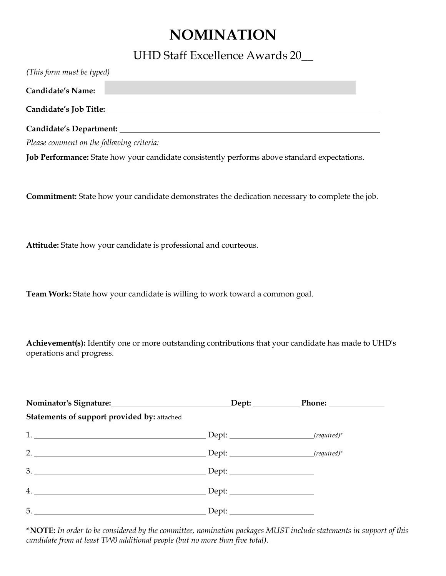## **NOMINATION**

UHD Staff Excellence Awards 20\_\_

| (This form must be typed)                                                                           |  |
|-----------------------------------------------------------------------------------------------------|--|
| <b>Candidate's Name:</b>                                                                            |  |
| Candidate's Job Title: _____                                                                        |  |
| Candidate's Department:                                                                             |  |
| Please comment on the following criteria:                                                           |  |
| <b>Job Performance:</b> State how your candidate consistently performs above standard expectations. |  |
|                                                                                                     |  |
|                                                                                                     |  |

**Commitment:** State how your candidate demonstrates the dedication necessary to complete the job.

**Attitude:** State how your candidate is professional and courteous.

**Team Work:** State how your candidate is willing to work toward a common goal.

**Achievement(s):** Identify one or more outstanding contributions that your candidate has made to UHD's operations and progress.

| Nominator's Signature:<br><u>Nominator's Signature:</u>                                                                                                                                                                                                                                                                                                                                                                                                                |                                               |  |
|------------------------------------------------------------------------------------------------------------------------------------------------------------------------------------------------------------------------------------------------------------------------------------------------------------------------------------------------------------------------------------------------------------------------------------------------------------------------|-----------------------------------------------|--|
| Statements of support provided by: attached                                                                                                                                                                                                                                                                                                                                                                                                                            |                                               |  |
| $1.$ $\overline{\phantom{a}}$ $\overline{\phantom{a}}$ $\overline{\phantom{a}}$ $\overline{\phantom{a}}$ $\overline{\phantom{a}}$ $\overline{\phantom{a}}$ $\overline{\phantom{a}}$ $\overline{\phantom{a}}$ $\overline{\phantom{a}}$ $\overline{\phantom{a}}$ $\overline{\phantom{a}}$ $\overline{\phantom{a}}$ $\overline{\phantom{a}}$ $\overline{\phantom{a}}$ $\overline{\phantom{a}}$ $\overline{\phantom{a}}$ $\overline{\phantom{a}}$ $\overline{\phantom{a}}$ | Dept: ____________________________(required)* |  |
|                                                                                                                                                                                                                                                                                                                                                                                                                                                                        |                                               |  |
| 3.                                                                                                                                                                                                                                                                                                                                                                                                                                                                     |                                               |  |
| 4. $\qquad \qquad$                                                                                                                                                                                                                                                                                                                                                                                                                                                     |                                               |  |
| 5.                                                                                                                                                                                                                                                                                                                                                                                                                                                                     |                                               |  |

**\*NOTE:** *In order to be considered by the committee, nomination packages MUST include statements in support of this candidate from at least TW0 additional people (but no more than five total).*